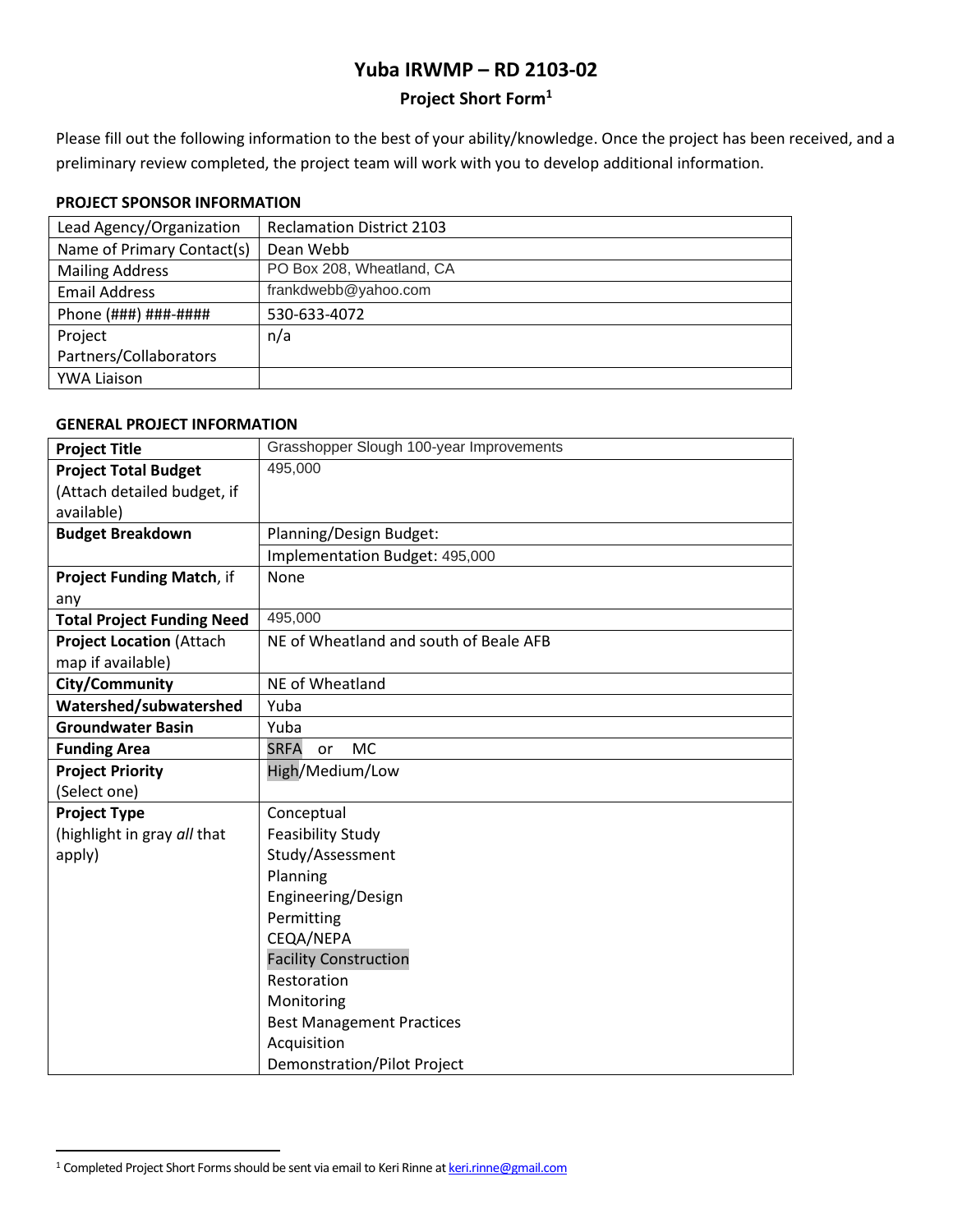# **Yuba IRWMP – RD 2103-02**

## **Project Short Form<sup>1</sup>**

Please fill out the following information to the best of your ability/knowledge. Once the project has been received, and a preliminary review completed, the project team will work with you to develop additional information.

### **PROJECT SPONSOR INFORMATION**

| <b>Reclamation District 2103</b> |
|----------------------------------|
| Dean Webb                        |
| PO Box 208, Wheatland, CA        |
| frankdwebb@yahoo.com             |
| 530-633-4072                     |
| n/a                              |
|                                  |
|                                  |
|                                  |

## **GENERAL PROJECT INFORMATION**

| <b>Project Title</b>              | Grasshopper Slough 100-year Improvements |
|-----------------------------------|------------------------------------------|
| <b>Project Total Budget</b>       | 495,000                                  |
| (Attach detailed budget, if       |                                          |
| available)                        |                                          |
| <b>Budget Breakdown</b>           | Planning/Design Budget:                  |
|                                   | Implementation Budget: 495,000           |
| Project Funding Match, if         | None                                     |
| any                               |                                          |
| <b>Total Project Funding Need</b> | 495,000                                  |
| <b>Project Location (Attach</b>   | NE of Wheatland and south of Beale AFB   |
| map if available)                 |                                          |
| City/Community                    | NE of Wheatland                          |
| Watershed/subwatershed            | Yuba                                     |
| <b>Groundwater Basin</b>          | Yuba                                     |
| <b>Funding Area</b>               | <b>SRFA</b><br><b>MC</b><br>or           |
| <b>Project Priority</b>           | High/Medium/Low                          |
| (Select one)                      |                                          |
| <b>Project Type</b>               | Conceptual                               |
| (highlight in gray all that       | <b>Feasibility Study</b>                 |
| apply)                            | Study/Assessment                         |
|                                   | Planning                                 |
|                                   | Engineering/Design                       |
|                                   | Permitting                               |
|                                   | CEQA/NEPA                                |
|                                   | <b>Facility Construction</b>             |
|                                   | Restoration                              |
|                                   | Monitoring                               |
|                                   | <b>Best Management Practices</b>         |
|                                   | Acquisition                              |
|                                   | <b>Demonstration/Pilot Project</b>       |

<sup>&</sup>lt;sup>1</sup> Completed Project Short Forms should be sent via email to Keri Rinne a[t keri.rinne@gmail.com](mailto:keri.rinne@gmail.com)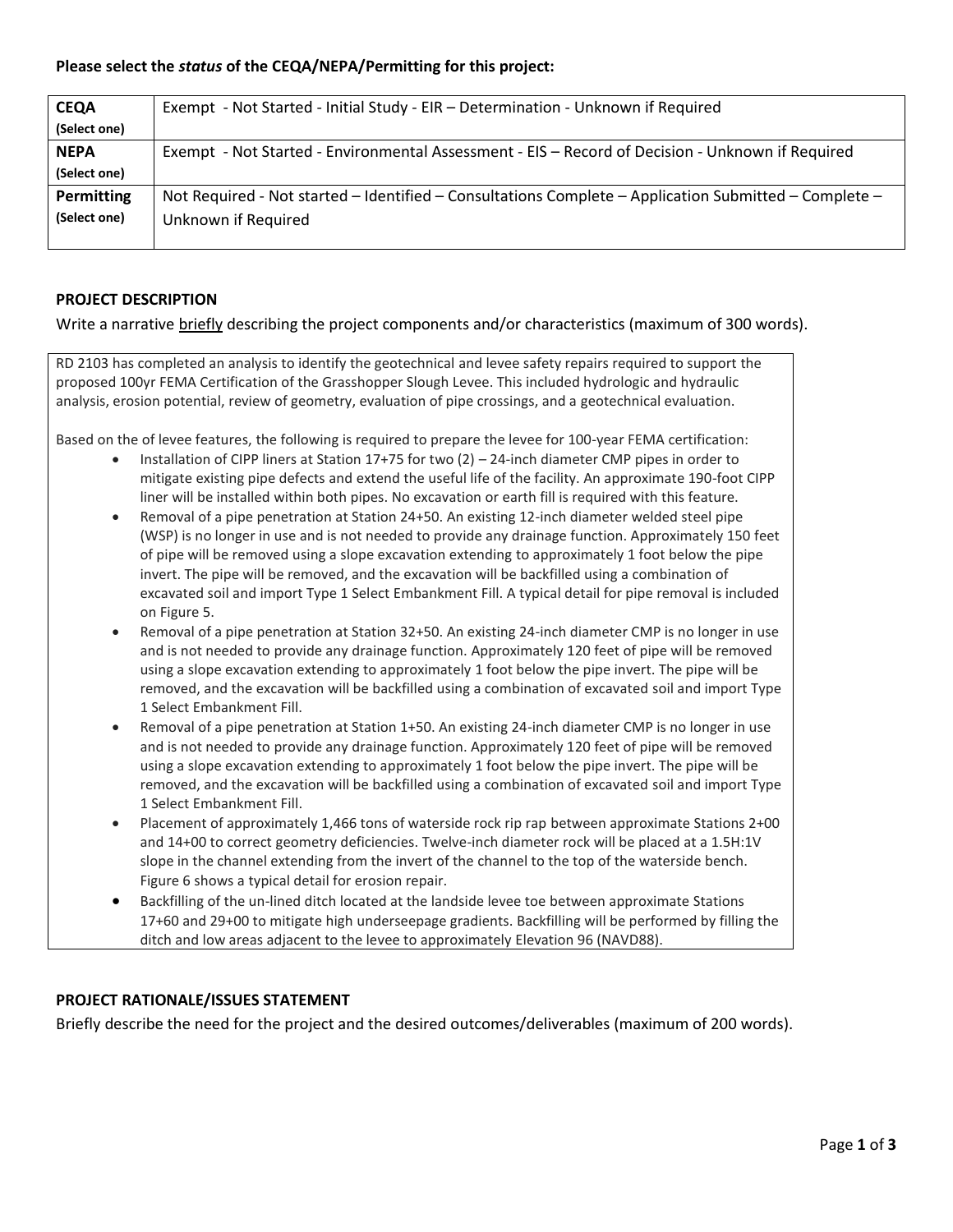## **Please select the** *status* **of the CEQA/NEPA/Permitting for this project:**

| <b>CEQA</b>       | Exempt - Not Started - Initial Study - EIR - Determination - Unknown if Required                      |
|-------------------|-------------------------------------------------------------------------------------------------------|
| (Select one)      |                                                                                                       |
| <b>NEPA</b>       | Exempt - Not Started - Environmental Assessment - EIS - Record of Decision - Unknown if Required      |
| (Select one)      |                                                                                                       |
| <b>Permitting</b> | Not Required - Not started - Identified - Consultations Complete - Application Submitted - Complete - |
| (Select one)      | Unknown if Required                                                                                   |
|                   |                                                                                                       |

#### **PROJECT DESCRIPTION**

Write a narrative briefly describing the project components and/or characteristics (maximum of 300 words).

RD 2103 has completed an analysis to identify the geotechnical and levee safety repairs required to support the proposed 100yr FEMA Certification of the Grasshopper Slough Levee. This included hydrologic and hydraulic analysis, erosion potential, review of geometry, evaluation of pipe crossings, and a geotechnical evaluation.

Based on the of levee features, the following is required to prepare the levee for 100-year FEMA certification:

- Installation of CIPP liners at Station 17+75 for two (2) 24-inch diameter CMP pipes in order to mitigate existing pipe defects and extend the useful life of the facility. An approximate 190-foot CIPP liner will be installed within both pipes. No excavation or earth fill is required with this feature.
- Removal of a pipe penetration at Station 24+50. An existing 12-inch diameter welded steel pipe (WSP) is no longer in use and is not needed to provide any drainage function. Approximately 150 feet of pipe will be removed using a slope excavation extending to approximately 1 foot below the pipe invert. The pipe will be removed, and the excavation will be backfilled using a combination of excavated soil and import Type 1 Select Embankment Fill. A typical detail for pipe removal is included on Figure 5.
- Removal of a pipe penetration at Station 32+50. An existing 24-inch diameter CMP is no longer in use and is not needed to provide any drainage function. Approximately 120 feet of pipe will be removed using a slope excavation extending to approximately 1 foot below the pipe invert. The pipe will be removed, and the excavation will be backfilled using a combination of excavated soil and import Type 1 Select Embankment Fill.
- Removal of a pipe penetration at Station 1+50. An existing 24-inch diameter CMP is no longer in use and is not needed to provide any drainage function. Approximately 120 feet of pipe will be removed using a slope excavation extending to approximately 1 foot below the pipe invert. The pipe will be removed, and the excavation will be backfilled using a combination of excavated soil and import Type 1 Select Embankment Fill.
- Placement of approximately 1,466 tons of waterside rock rip rap between approximate Stations 2+00 and 14+00 to correct geometry deficiencies. Twelve-inch diameter rock will be placed at a 1.5H:1V slope in the channel extending from the invert of the channel to the top of the waterside bench. Figure 6 shows a typical detail for erosion repair.
- Backfilling of the un-lined ditch located at the landside levee toe between approximate Stations 17+60 and 29+00 to mitigate high underseepage gradients. Backfilling will be performed by filling the ditch and low areas adjacent to the levee to approximately Elevation 96 (NAVD88).

## **PROJECT RATIONALE/ISSUES STATEMENT**

Briefly describe the need for the project and the desired outcomes/deliverables (maximum of 200 words).